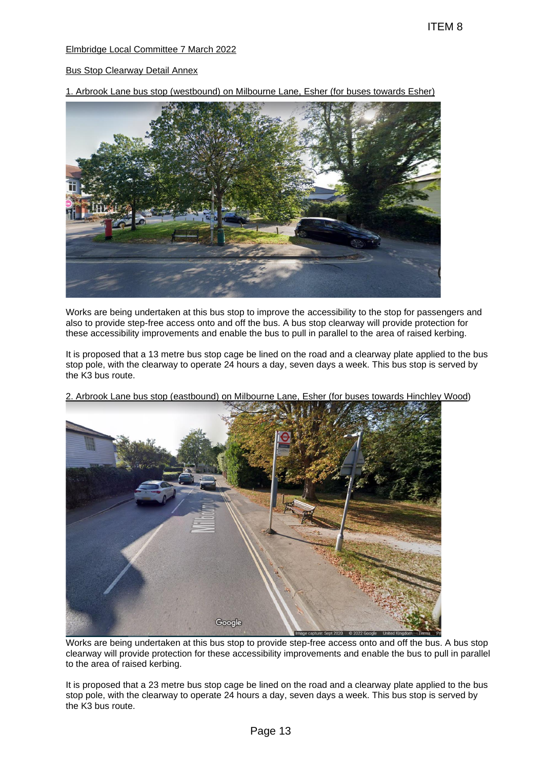## Elmbridge Local Committee 7 March 2022

## Bus Stop Clearway Detail Annex

1. Arbrook Lane bus stop (westbound) on Milbourne Lane, Esher (for buses towards Esher)



Works are being undertaken at this bus stop to improve the accessibility to the stop for passengers and also to provide step-free access onto and off the bus. A bus stop clearway will provide protection for these accessibility improvements and enable the bus to pull in parallel to the area of raised kerbing.

It is proposed that a 13 metre bus stop cage be lined on the road and a clearway plate applied to the bus stop pole, with the clearway to operate 24 hours a day, seven days a week. This bus stop is served by the K3 bus route.



2. Arbrook Lane bus stop (eastbound) on Milbourne Lane, Esher (for buses towards Hinchley Wood)

Works are being undertaken at this bus stop to provide step-free access onto and off the bus. A bus stop clearway will provide protection for these accessibility improvements and enable the bus to pull in parallel to the area of raised kerbing.

It is proposed that a 23 metre bus stop cage be lined on the road and a clearway plate applied to the bus stop pole, with the clearway to operate 24 hours a day, seven days a week. This bus stop is served by the K3 bus route.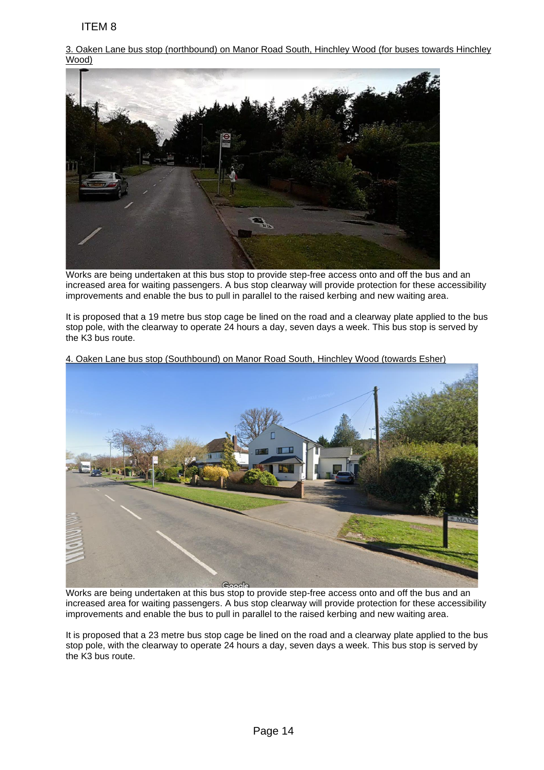3. Oaken Lane bus stop (northbound) on Manor Road South, Hinchley Wood (for buses towards Hinchley Wood)

Works are being undertaken at this bus stop to provide step-free access onto and off the bus and an increased area for waiting passengers. A bus stop clearway will provide protection for these accessibility improvements and enable the bus to pull in parallel to the raised kerbing and new waiting area.

It is proposed that a 19 metre bus stop cage be lined on the road and a clearway plate applied to the bus stop pole, with the clearway to operate 24 hours a day, seven days a week. This bus stop is served by the K3 bus route.



4. Oaken Lane bus stop (Southbound) on Manor Road South, Hinchley Wood (towards Esher)

Works are being undertaken at this bus stop to provide step-free access onto and off the bus and an increased area for waiting passengers. A bus stop clearway will provide protection for these accessibility improvements and enable the bus to pull in parallel to the raised kerbing and new waiting area.

It is proposed that a 23 metre bus stop cage be lined on the road and a clearway plate applied to the bus stop pole, with the clearway to operate 24 hours a day, seven days a week. This bus stop is served by the K3 bus route.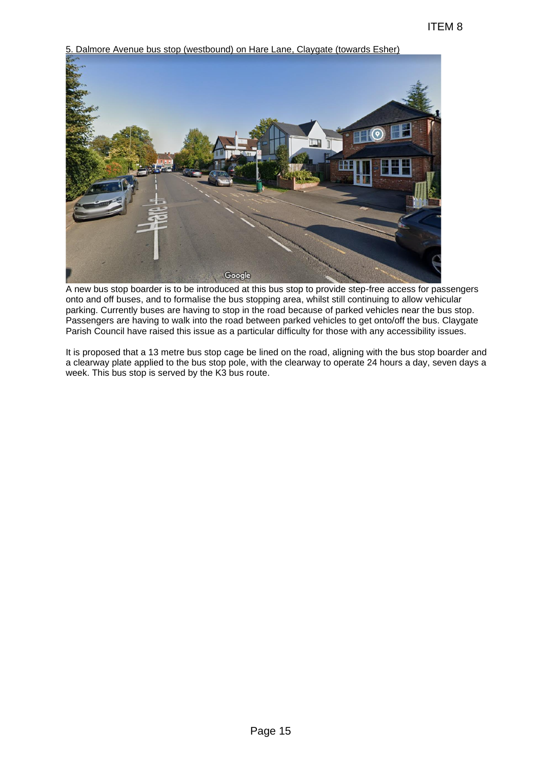5. Dalmore Avenue bus stop (westbound) on Hare Lane, Claygate (towards Esher) ITEM 8<br>
Hare Lane, Claygate (towards Esher)<br>
The Constant Constant of the Constant of the Constant of the Constant of the Constant of the Constant Constant Constant Constant Constant Constant Constant Constant Constant Con

A new bus stop boarder is to be introduced at this bus stop to provide step-free access for passengers onto and off buses, and to formalise the bus stopping area, whilst still continuing to allow vehicular parking. Currently buses are having to stop in the road because of parked vehicles near the bus stop. Passengers are having to walk into the road between parked vehicles to get onto/off the bus. Claygate Parish Council have raised this issue as a particular difficulty for those with any accessibility issues.

It is proposed that a 13 metre bus stop cage be lined on the road, aligning with the bus stop boarder and a clearway plate applied to the bus stop pole, with the clearway to operate 24 hours a day, seven days a week. This bus stop is served by the K3 bus route.